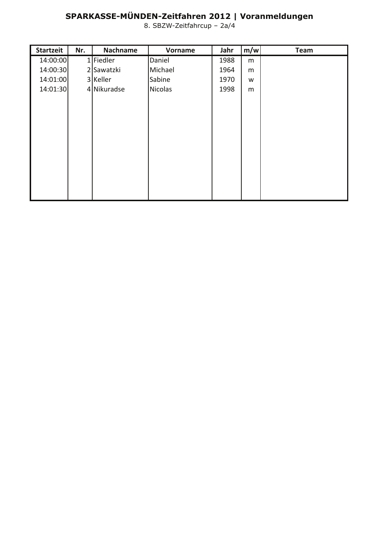## SPARKASSE-MÜNDEN-Zeitfahren 2012 | Voranmeldungen<br>8. SBZW-Zeitfahrcup - 2a/4

| <b>Startzeit</b> | Nr. | Nachname    | Vorname | Jahr | m/w | <b>Team</b> |
|------------------|-----|-------------|---------|------|-----|-------------|
| 14:00:00         |     | $1$ Fiedler | Daniel  | 1988 | m   |             |
| 14:00:30         |     | 2 Sawatzki  | Michael | 1964 | m   |             |
| 14:01:00         |     | 3 Keller    | Sabine  | 1970 | W   |             |
| 14:01:30         |     | 4 Nikuradse | Nicolas | 1998 | m   |             |
|                  |     |             |         |      |     |             |
|                  |     |             |         |      |     |             |
|                  |     |             |         |      |     |             |
|                  |     |             |         |      |     |             |
|                  |     |             |         |      |     |             |
|                  |     |             |         |      |     |             |
|                  |     |             |         |      |     |             |
|                  |     |             |         |      |     |             |
|                  |     |             |         |      |     |             |
|                  |     |             |         |      |     |             |
|                  |     |             |         |      |     |             |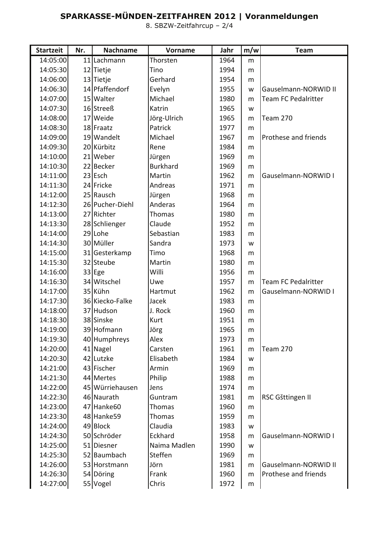## SPARKASSE-MÜNDEN-ZEITFAHREN 2012 | Voranmeldungen<br>8. SBZW-Zeitfahrcup - 2/4

| <b>Startzeit</b> | Nr. | <b>Nachname</b>        | Vorname         | Jahr | m/w       | <b>Team</b>                |
|------------------|-----|------------------------|-----------------|------|-----------|----------------------------|
| 14:05:00         |     | 11 Lachmann            | Thorsten        | 1964 | m         |                            |
| 14:05:30         |     | 12 Tietje              | Tino            | 1994 | m         |                            |
| 14:06:00         |     | 13 Tietje              | Gerhard         | 1954 | m         |                            |
| 14:06:30         |     | 14 Pfaffendorf         | Evelyn          | 1955 | W         | Gauselmann-NORWID II       |
| 14:07:00         |     | 15 Walter              | Michael         | 1980 | m         | <b>Team FC Pedalritter</b> |
| 14:07:30         |     | 16 Streeß              | Katrin          | 1965 | W         |                            |
| 14:08:00         |     | 17 Weide               | Jörg-Ulrich     | 1965 | m         | Team 270                   |
| 14:08:30         |     | 18 Fraatz              | Patrick         | 1977 | m         |                            |
| 14:09:00         |     | 19 Wandelt             | Michael         | 1967 | m         | Prothese and friends       |
| 14:09:30         |     | 20 Kürbitz             | Rene            | 1984 | m         |                            |
| 14:10:00         |     | 21 Weber               | Jürgen          | 1969 | m         |                            |
| 14:10:30         |     | 22 Becker              | <b>Burkhard</b> | 1969 | m         |                            |
| 14:11:00         |     | $23$ Esch              | Martin          | 1962 | m         | Gauselmann-NORWID I        |
| 14:11:30         |     | 24 Fricke              | Andreas         | 1971 | m         |                            |
| 14:12:00         |     | 25 Rausch              | Jürgen          | 1968 | m         |                            |
| 14:12:30         |     | 26 Pucher-Diehl        | Anderas         | 1964 | m         |                            |
| 14:13:00         |     | 27 Richter             | Thomas          | 1980 | m         |                            |
| 14:13:30         |     | 28 Schlienger          | Claude          | 1952 | m         |                            |
| 14:14:00         |     | 29 Lohe                | Sebastian       | 1983 | m         |                            |
| 14:14:30         |     | 30 Müller              | Sandra          | 1973 | W         |                            |
| 14:15:00         |     | 31 Gesterkamp          | Timo            | 1968 | m         |                            |
| 14:15:30         |     | 32 Steube              | Martin          | 1980 | m         |                            |
| 14:16:00         |     | $33$ Ege               | Willi           | 1956 | m         |                            |
| 14:16:30         |     | 34 Witschel            | Uwe             | 1957 | m         | Team FC Pedalritter        |
| 14:17:00         |     | 35 Kühn                | Hartmut         | 1962 | m         | Gauselmann-NORWID I        |
| 14:17:30         |     | 36 Kiecko-Falke        | Jacek           | 1983 | m         |                            |
| 14:18:00         |     | 37 Hudson              | J. Rock         | 1960 | m         |                            |
| 14:18:30         |     | 38 Sinske              | Kurt            | 1951 | m         |                            |
| 14:19:00         |     | 39 Hofmann             | Jörg            | 1965 | m         |                            |
| 14:19:30         |     | 40 Humphreys           | Alex            | 1973 | m         |                            |
| 14:20:00         |     | 41 Nagel               | Carsten         | 1961 | m         | <b>Team 270</b>            |
| 14:20:30         |     | 42 Lutzke              | Elisabeth       | 1984 | W         |                            |
| 14:21:00         |     | 43 Fischer             | Armin           | 1969 | m         |                            |
| 14:21:30         |     | 44 Mertes              | Philip          | 1988 | m         |                            |
| 14:22:00         |     | 45 Würriehausen        | Jens            | 1974 | m         |                            |
| 14:22:30         |     | 46 Naurath             | Guntram         | 1981 | m         | RSC Gšttingen II           |
| 14:23:00         |     | 47 Hanke <sub>60</sub> | Thomas          | 1960 | m         |                            |
| 14:23:30         |     | 48 Hanke 59            | Thomas          | 1959 | m         |                            |
| 14:24:00         |     | 49 Block               | Claudia         | 1983 | W         |                            |
| 14:24:30         |     | 50 Schröder            | Eckhard         | 1958 | m         | Gauselmann-NORWID I        |
| 14:25:00         |     | 51 Diesner             | Naima Madlen    | 1990 | W         |                            |
| 14:25:30         |     | 52 Baumbach            | Steffen         | 1969 | m         |                            |
| 14:26:00         |     | 53 Horstmann           | Jörn            | 1981 | m         | Gauselmann-NORWID II       |
| 14:26:30         |     | 54 Döring              | Frank           | 1960 | m         | Prothese and friends       |
| 14:27:00         |     | 55 Vogel               | Chris           | 1972 | ${\sf m}$ |                            |